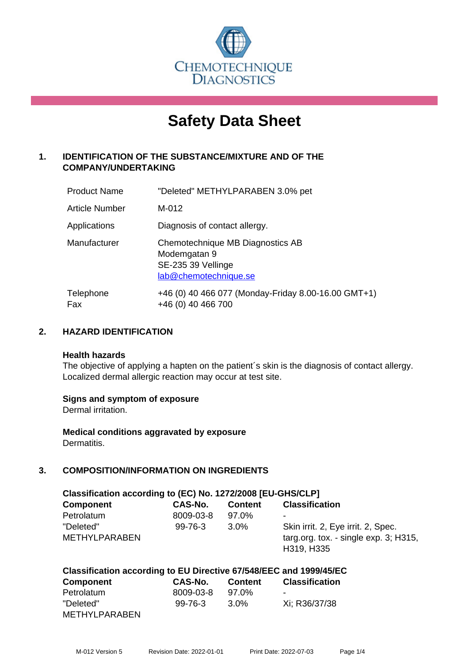

# **Safety Data Sheet**

# **1. IDENTIFICATION OF THE SUBSTANCE/MIXTURE AND OF THE COMPANY/UNDERTAKING**

| <b>Product Name</b> | "Deleted" METHYLPARABEN 3.0% pet                                                                |
|---------------------|-------------------------------------------------------------------------------------------------|
| Article Number      | M-012                                                                                           |
| Applications        | Diagnosis of contact allergy.                                                                   |
| Manufacturer        | Chemotechnique MB Diagnostics AB<br>Modemgatan 9<br>SE-235 39 Vellinge<br>lab@chemotechnique.se |
| Telephone<br>Fax    | +46 (0) 40 466 077 (Monday-Friday 8.00-16.00 GMT+1)<br>+46 (0) 40 466 700                       |

#### **2. HAZARD IDENTIFICATION**

#### **Health hazards**

The objective of applying a hapten on the patient's skin is the diagnosis of contact allergy. Localized dermal allergic reaction may occur at test site.

#### **Signs and symptom of exposure**

Dermal irritation.

**Medical conditions aggravated by exposure** Dermatitis.

# **3. COMPOSITION/INFORMATION ON INGREDIENTS**

| Classification according to (EC) No. 1272/2008 [EU-GHS/CLP] |               |                |                                                     |  |
|-------------------------------------------------------------|---------------|----------------|-----------------------------------------------------|--|
| <b>Component</b>                                            | CAS-No.       | <b>Content</b> | <b>Classification</b>                               |  |
| Petrolatum                                                  | 8009-03-8     | 97.0%          | ٠                                                   |  |
| "Deleted"                                                   | $99 - 76 - 3$ | $3.0\%$        | Skin irrit. 2, Eye irrit. 2, Spec.                  |  |
| <b>METHYLPARABEN</b>                                        |               |                | targ.org. tox. - single exp. 3; H315,<br>H319, H335 |  |

# **Classification according to EU Directive 67/548/EEC and 1999/45/EC**

| <b>Component</b> | CAS-No.       | <b>Content</b> | <b>Classification</b> |
|------------------|---------------|----------------|-----------------------|
| Petrolatum       | 8009-03-8     | 97.0%          | $\sim$                |
| "Deleted"        | $99 - 76 - 3$ | 3.0%           | Xi: R36/37/38         |
| METHYLPARABEN    |               |                |                       |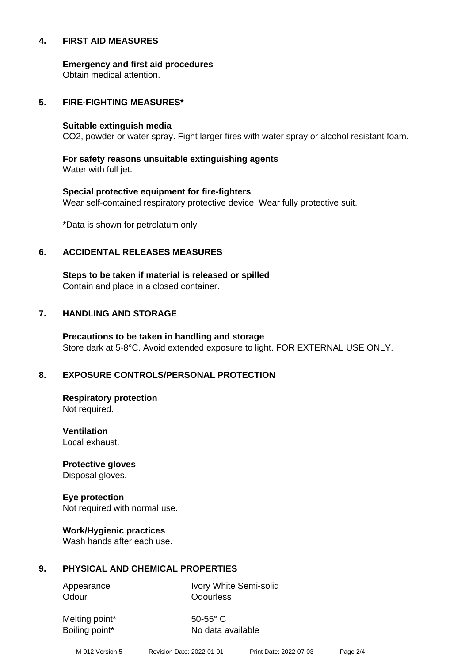#### **4. FIRST AID MEASURES**

**Emergency and first aid procedures**

Obtain medical attention.

#### **5. FIRE-FIGHTING MEASURES\***

#### **Suitable extinguish media**

CO2, powder or water spray. Fight larger fires with water spray or alcohol resistant foam.

# **For safety reasons unsuitable extinguishing agents**

Water with full jet.

# **Special protective equipment for fire-fighters** Wear self-contained respiratory protective device. Wear fully protective suit.

\*Data is shown for petrolatum only

#### **6. ACCIDENTAL RELEASES MEASURES**

**Steps to be taken if material is released or spilled** Contain and place in a closed container.

# **7. HANDLING AND STORAGE**

**Precautions to be taken in handling and storage** Store dark at 5-8°C. Avoid extended exposure to light. FOR EXTERNAL USE ONLY.

# **8. EXPOSURE CONTROLS/PERSONAL PROTECTION**

**Respiratory protection** Not required.

**Ventilation** Local exhaust.

**Protective gloves** Disposal gloves.

# **Eye protection**

Not required with normal use.

#### **Work/Hygienic practices**

Wash hands after each use.

#### **9. PHYSICAL AND CHEMICAL PROPERTIES**

Odour **Odourless** 

Appearance Ivory White Semi-solid

Melting point\* 50-55° C

Boiling point\* No data available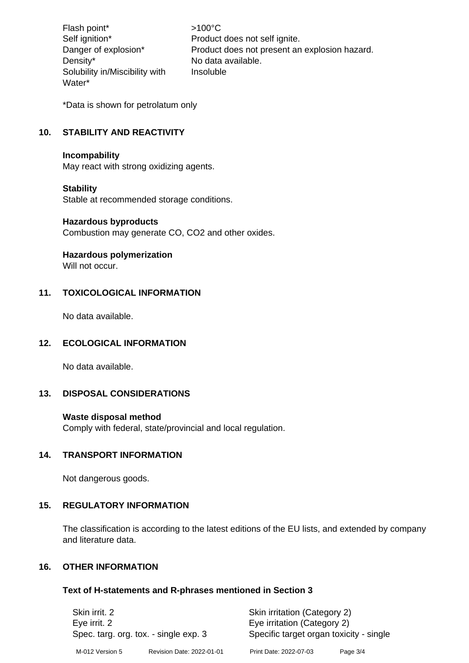Flash point\*  $>100^{\circ}$ C Density\* No data available. Solubility in/Miscibility with Water\*

Self ignition\* Product does not self ignite. Danger of explosion\* Product does not present an explosion hazard. Insoluble

\*Data is shown for petrolatum only

# **10. STABILITY AND REACTIVITY**

#### **Incompability**

May react with strong oxidizing agents.

#### **Stability**

Stable at recommended storage conditions.

#### **Hazardous byproducts**

Combustion may generate CO, CO2 and other oxides.

#### **Hazardous polymerization**

Will not occur.

#### **11. TOXICOLOGICAL INFORMATION**

No data available.

#### **12. ECOLOGICAL INFORMATION**

No data available.

#### **13. DISPOSAL CONSIDERATIONS**

#### **Waste disposal method**

Comply with federal, state/provincial and local regulation.

#### **14. TRANSPORT INFORMATION**

Not dangerous goods.

#### **15. REGULATORY INFORMATION**

The classification is according to the latest editions of the EU lists, and extended by company and literature data.

# **16. OTHER INFORMATION**

#### **Text of H-statements and R-phrases mentioned in Section 3**

| Skin irrit, 2<br>Eye irrit. 2<br>Spec. targ. org. tox. - single exp. 3 |                           | Skin irritation (Category 2)<br>Eye irritation (Category 2)<br>Specific target organ toxicity - single |          |
|------------------------------------------------------------------------|---------------------------|--------------------------------------------------------------------------------------------------------|----------|
| M-012 Version 5                                                        | Revision Date: 2022-01-01 | Print Date: 2022-07-03                                                                                 | Page 3/4 |